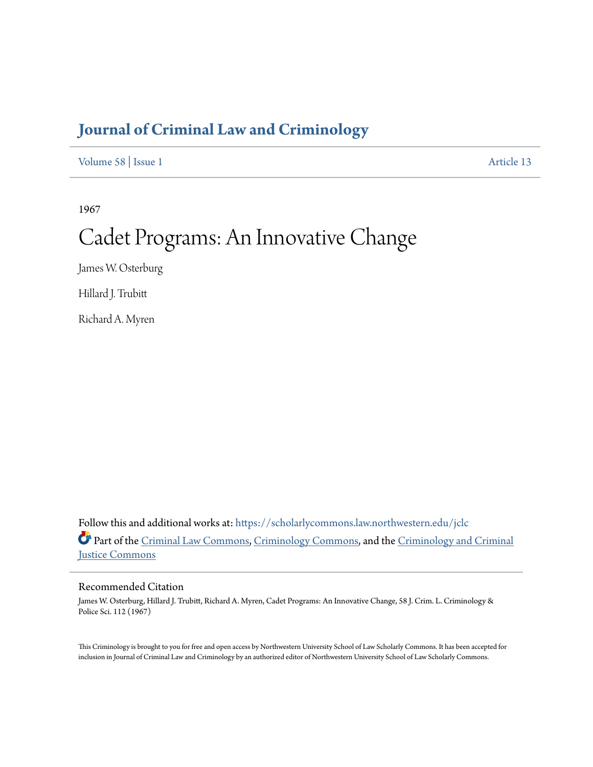# **[Journal of Criminal Law and Criminology](https://scholarlycommons.law.northwestern.edu/jclc?utm_source=scholarlycommons.law.northwestern.edu%2Fjclc%2Fvol58%2Fiss1%2F13&utm_medium=PDF&utm_campaign=PDFCoverPages)**

[Volume 58](https://scholarlycommons.law.northwestern.edu/jclc/vol58?utm_source=scholarlycommons.law.northwestern.edu%2Fjclc%2Fvol58%2Fiss1%2F13&utm_medium=PDF&utm_campaign=PDFCoverPages) | [Issue 1](https://scholarlycommons.law.northwestern.edu/jclc/vol58/iss1?utm_source=scholarlycommons.law.northwestern.edu%2Fjclc%2Fvol58%2Fiss1%2F13&utm_medium=PDF&utm_campaign=PDFCoverPages) [Article 13](https://scholarlycommons.law.northwestern.edu/jclc/vol58/iss1/13?utm_source=scholarlycommons.law.northwestern.edu%2Fjclc%2Fvol58%2Fiss1%2F13&utm_medium=PDF&utm_campaign=PDFCoverPages)

1967

# Cadet Programs: An Innovative Change

James W. Osterburg

Hillard J. Trubitt

Richard A. Myren

Follow this and additional works at: [https://scholarlycommons.law.northwestern.edu/jclc](https://scholarlycommons.law.northwestern.edu/jclc?utm_source=scholarlycommons.law.northwestern.edu%2Fjclc%2Fvol58%2Fiss1%2F13&utm_medium=PDF&utm_campaign=PDFCoverPages) Part of the [Criminal Law Commons](http://network.bepress.com/hgg/discipline/912?utm_source=scholarlycommons.law.northwestern.edu%2Fjclc%2Fvol58%2Fiss1%2F13&utm_medium=PDF&utm_campaign=PDFCoverPages), [Criminology Commons](http://network.bepress.com/hgg/discipline/417?utm_source=scholarlycommons.law.northwestern.edu%2Fjclc%2Fvol58%2Fiss1%2F13&utm_medium=PDF&utm_campaign=PDFCoverPages), and the [Criminology and Criminal](http://network.bepress.com/hgg/discipline/367?utm_source=scholarlycommons.law.northwestern.edu%2Fjclc%2Fvol58%2Fiss1%2F13&utm_medium=PDF&utm_campaign=PDFCoverPages) [Justice Commons](http://network.bepress.com/hgg/discipline/367?utm_source=scholarlycommons.law.northwestern.edu%2Fjclc%2Fvol58%2Fiss1%2F13&utm_medium=PDF&utm_campaign=PDFCoverPages)

## Recommended Citation

James W. Osterburg, Hillard J. Trubitt, Richard A. Myren, Cadet Programs: An Innovative Change, 58 J. Crim. L. Criminology & Police Sci. 112 (1967)

This Criminology is brought to you for free and open access by Northwestern University School of Law Scholarly Commons. It has been accepted for inclusion in Journal of Criminal Law and Criminology by an authorized editor of Northwestern University School of Law Scholarly Commons.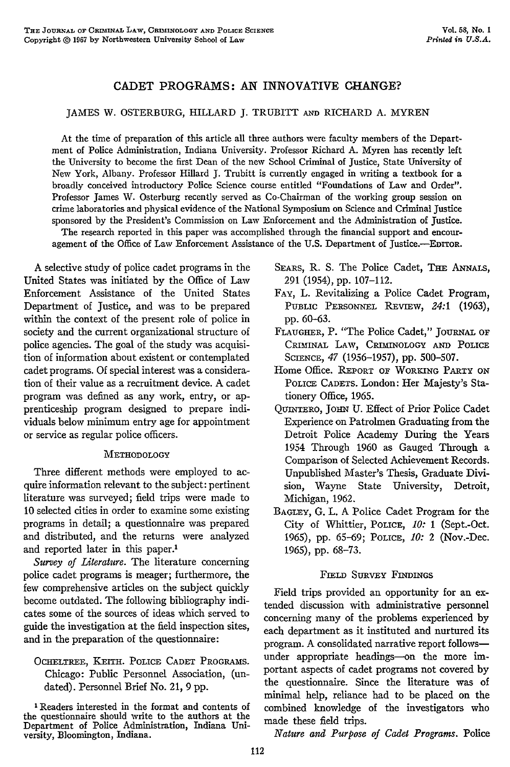### **CADET** PROGRAMS: **AN** INNOVATIVE **CHANGE?**

#### JAMES W. OSTERBURG, HILLARD **J.** TRUBIT **AND** RICHARD **A.** MYREN

At the time of preparation of **this** article all three authors were faculty members of the Department of Police Administration, Indiana University. Professor Richard **A.** Myren has recently left the University to become the first Dean of the new School Criminal of Justice, State University of New York, Albany. Professor Hillard **J.** Trubitt is currently engaged in writing a textbook for a broadly conceived introductory Police Science course entitled "Foundations of Law and Order". Professor James W. Osterburg recently served as Co-Chairman of the working group session on crime laboratories and physical evidence of the National Symposium on Science and Criminal Justice sponsored **by** the President's Commission on Law Enforcement and the Administration of Justice. The research reported in this paper was accomplished through the financial support and encour-

agement of the Office of Law Enforcement Assistance of the **U.S.** Department of Justice.-EDrrOR.

A selective study of police cadet programs in the United States was initiated **by** the Office of Law Enforcement Assistance of the United States Department of Justice, and was to be prepared within the context of the present role of police in society and the current organizational structure of police agencies. The goal of the study was acquisition of information about existent or contemplated cadet programs. Of special interest was a consideration of their value as a recruitment device. A cadet program was defined as any work, entry, or apprenticeship program designed to prepare individuals below minimum entry age for appointment or service as regular police officers.

#### METHODOLOGY

Three different methods were employed to acquire information relevant to the subject: pertinent literature was surveyed; field trips were made to **10** selected cities in order to examine some existing programs in detail; a questionnaire was prepared and distributed, and the returns were analyzed and reported later in this paper.1

*Survey of Literature.* The literature concerning police cadet programs is meager; furthermore, the few comprehensive articles on the subject quickly become outdated. The following bibliography indicates some of the sources of ideas which served to guide the investigation at the field inspection sites, and in the preparation of the questionnaire:

OCHELTREE, KEITH. POLICE CADET PROGRAMS. Chicago: Public Personnel Association, (undated). Personnel Brief No. 21, **9 pp.**

**1** Readers interested in the format and contents of the questionnaire should write to the authors at the Department of Police Administration, Indiana University, Bloomington, Indiana.

- SEARS, R. S. The Police Cadet, THE ANNALS, 291 (1954), **pp.** 107-112.
- FAY, L. Revitalizing a Police Cadet Program, PUBLIC PERSONNEL REVIEW, 24:1 (1963), pp. 60-63.
- FLAUGHER, P. "The Police Cadet," JOURNAL **OF** CRIMINAL LAW, CRIMINOLOGY AND POLICE SCIENCE, 47 (1956-1957), pp. 500-507.
- Home Office. REPORT OF WORKING PARTY ON POLICE CADETS. London: Her Majesty's Stationery Office, 1965.
- QUmTERO, JOHN **U.** Effect of Prior Police Cadet Experience on Patrolmen Graduating from the Detroit Police Academy During the Years 1954 Through 1960 as Gauged Through a Comparison of Selected Achievement Records. Unpublished Master's Thesis, Graduate Division, Wayne State University, Detroit, Michigan, 1962.
- BAGLEY, G. L. A Police Cadet Program for the City of Whittier, POLICE, *10:* 1 (Sept.-Oct. 1965), **pp.** 65-69; POLICE, *10:* 2 (Nov.-Dec. 1965), pp. 68-73.

#### **FIELD** SuRvEY FINDINGS

Field trips provided an opportunity for an extended discussion with administrative personnel concerning many of the problems experienced by each department as it instituted and nurtured its program. A consolidated narrative report followsunder appropriate headings-on the more important aspects of cadet programs not covered by the questionnaire. Since the literature was of minimal help, reliance had to be placed on the combined knowledge of the investigators who made these field trips.

*Nature and Purpose of Cadet Programs.* Police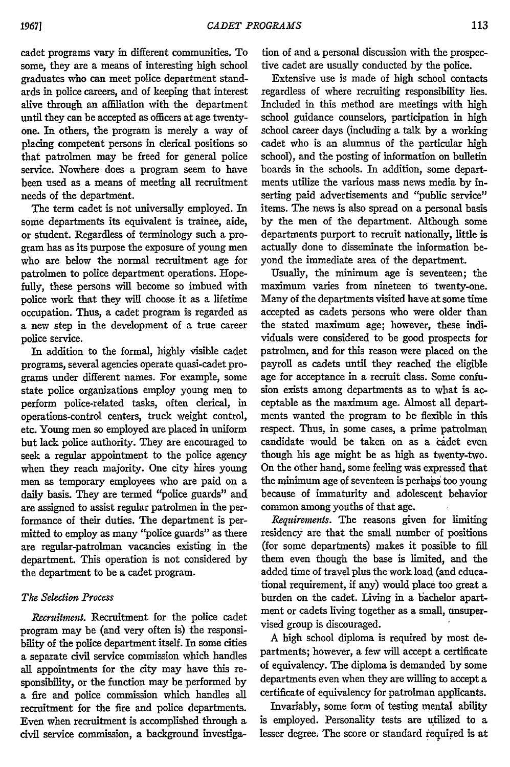cadet programs vary in different communities. To some, they are a means of interesting high school graduates who can meet police department standards in police careers, and of keeping that interest alive through an affiliation with the department until they can be accepted as officers at age twentyone. In others, the program is merely a way of placing competent persons in clerical positions so that patrolmen may be freed for general police service. Nowhere does a program seem to have been used as a means of meeting all recruitment needs of the department.

The term cadet is not universally employed. In some departments its equivalent is trainee, aide, or student. Regardless of terminology such a program has as its purpose the exposure of young men who are below the normal recruitment age for patrolmen to police department operations. Hopefully, these persons will become so imbued with police work that they will choose it as a lifetime occupation. Thus, a cadet program is regarded as a new step in the development of a true career police service.

In addition to the formal, highly visible cadet programs, several agencies operate quasi-cadet programs under different names. For example, some state police organizations employ young men to perform police-related tasks, often clerical, in operations-control centers, truck weight control, etc. Young men so employed are placed in uniform but lack police authority. They are encouraged to seek a regular appointment to the police agency when they reach majority. One city hires young men as temporary employees who are paid on a daily basis. They are termed "police guards" and are assigned to assist regular patrolmen in the performance of their duties. The department is permitted to employ as many "police guards" as there are regular-patrolman vacancies existing in the department. This operation is not considered by the department to be a cadet program.

#### *The Selection Process*

*Recruitment.* Recruitment for the police cadet program may be (and very often is) the responsibility of the police department itself. In some cities a separate civil service commission which handles all appointments for the city may have this responsibility, or the function may be performed by a fire and police commission which handles all recruitment for the fire and police departments. Even when recruitment is accomplished through a civil service commission, a background investigation of and a personal discussion with the prospective cadet are usually conducted by the police.

Extensive use is made of high school contacts regardless of where recruiting responsibility lies. Included in this method are meetings with high school guidance counselors, participation in high school career days (including a talk by a working cadet who is an alumnus of the particular high school), and the posting of information on bulletin boards in the schools. In addition, some departments utilize the various mass news media by inserting paid advertisements and "public service" items. The news is also spread on a personal basis by the men of the department. Although some departments purport to recruit nationally, little is actually done to disseminate the information beyond the immediate area of the department.

Usually, the minimum age is seventeen; the maximum varies from nineteen to twenty-one. Many of the departments visited have at some time accepted as cadets persons who were older than the stated maximum age; however, these individuals were considered to be good prospects for patrolmen, and for this reason were placed on the payroll as cadets until they reached the eligible age for acceptance in a recruit class. Some confusion exists among departments as to what is acceptable as the maximum age. Almost all departments wanted the program to be flexible in this respect. Thus, in some cases, a prime patrolman candidate would be taken on as a cadet even though his age might be as high as twenty-two. On the other hand, some feeling was expressed that the minimum age of seventeen is perhaps too young because of immaturity and adolescent behavior common among youths of that age.

*Requirements.* The reasons given for limiting residency are that the small number of positions (for some departments) makes it possible to fill them even though the base is limited, and the added time of travel plus the work load (and educational requirement, if any) would place too great a burden on the cadet. Living in a bachelor apartment or cadets living together as a small, unsupervised group is discouraged.

A high school diploma is required by most departments; however, a few will accept a certificate of equivalency. The diploma is demanded by some departments even when they are willing to accept a certificate of equivalency for patrolman applicants.

Invariably, some form of testing mental ability is employed. Personality tests are utilized to a lesser degree. The score or standard required is at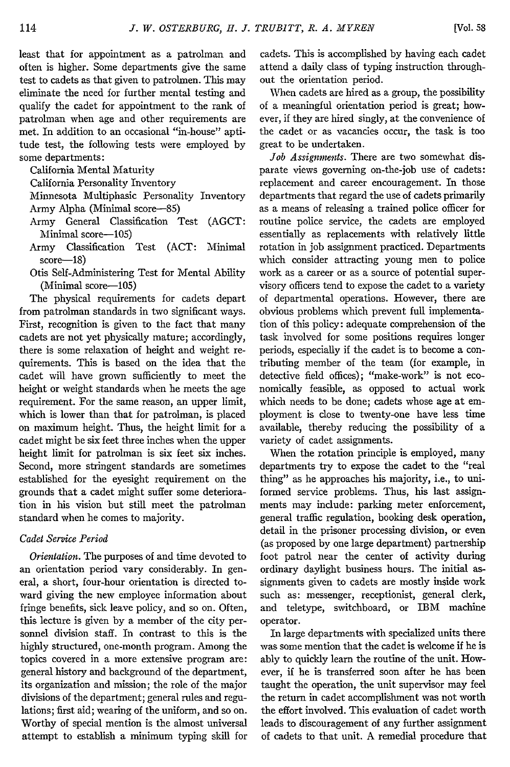least that for appointment as a patrolman and often is higher. Some departments give the same test to cadets as that given to patrolmen. This may eliminate the need for further mental testing and qualify the cadet for appointment to the rank of patrolman when age and other requirements are met. In addition to an occasional "in-house" aptitude test, the following tests were employed by some departments:

California Mental Maturity

California Personality Inventory

Minnesota Multiphasic Personality Inventory Army Alpha (Minimal score-85)

- Army General Classification Test (AGCT: Minimal score-105)
- Army Classification Test (ACT: Minimal score-18)
- Otis Self-Administering Test for Mental Ability (Minimal score-105)

The physical requirements for cadets depart from patrolman standards in two significant ways. First, recognition is given to the fact that many cadets are not yet physically mature; accordingly, there is some relaxation of height and weight requirements. This is based on the idea that the cadet will have grown sufficiently to meet the height or weight standards when he meets the age requirement. For the same reason, an upper limit, which is lower than that for patrolman, is placed on maximum height. Thus, the height limit for a cadet might be six feet three inches when the upper height limit for patrolman is six feet six inches. Second, more stringent standards are sometimes established for the eyesight requirement on the grounds that a cadet might suffer some deterioration in his vision but still meet the patrolman standard when he comes to majority.

#### *Cadet Service Period*

*Orientation.* The purposes of and time devoted to an orientation period vary considerably. In general, a short, four-hour orientation is directed toward giving the new employee information about fringe benefits, sick leave policy, and so on. Often, this lecture is given by a member of the city personnel division staff. In contrast to this is the highly structured, one-month program. Among the topics covered in a more extensive program are: general history and background of the department, its organization and mission; the role of the major divisions of the department; general rules and regulations; first aid; wearing of the uniform, and so on. Worthy of special mention is the almost universal attempt to establish a minimum typing skill for cadets. This is accomplished by having each cadet attend a daily class of typing instruction throughout the orientation period.

When cadets are hired as a group, the possibility of a meaningful orientation period is great; however, if they are hired singly, at the convenience of the cadet or as vacancies occur, the task is too great to be undertaken.

*Job Assignments.* There are two somewhat disparate views governing on-the-job use of cadets: replacement and career encouragement. In those departments that regard the use of cadets primarily as a means of releasing a trained police officer for routine police service, the cadets are employed essentially as replacements with relatively little rotation in job assignment practiced. Departments which consider attracting young men to police work as a career or as a source of potential supervisory officers tend to expose the cadet to a variety of departmental operations. However, there are obvious problems which prevent full implementation of this policy: adequate comprehension of the task involved for some positions requires longer periods, especially if the cadet is to become a contributing member of the team (for example, in detective field offices); "make-work" is not economically feasible, as opposed to actual work which needs to be done; cadets whose age at employment is *close* to twenty-one have less time available, thereby reducing the possibility of a variety of cadet assignments.

When the rotation principle is employed, many departments try to expose the cadet to the "real thing" as he approaches his majority, i.e., to uniformed service problems. Thus, his last assignments may include: parking meter enforcement, general traffic regulation, booking desk operation, detail in the prisoner processing division, or even (as proposed by one large department) partnership foot patrol near the center of activity during ordinary daylight business hours. The initial assignments given to cadets are mostly inside work such as: messenger, receptionist, general clerk, and teletype, switchboard, or IBM machine operator.

In large departments with specialized units there was some mention that the cadet is welcome if he is ably to quickly learn the routine of the unit. However, if he is transferred soon after he has been taught the operation, the unit supervisor may feel the return in cadet accomplishment was not worth the effort involved. This evaluation of cadet worth leads to discouragement of any further assignment of cadets to that unit. A remedial procedure that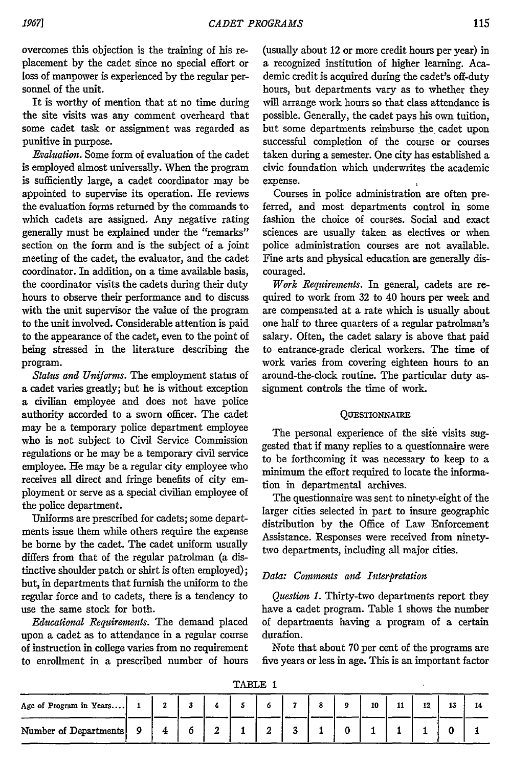overcomes this objection is the training of his replacement by the cadet since no special effort or loss of manpower is experienced by the regular personnel of the unit.

It is worthy of mention that at no time during the site visits was any comment overheard that some cadet task or assignment was regarded as punitive in purpose.

*Evaluation.* Some form of evaluation of the cadet is employed almost universally. When the program is sufficiently large, a cadet coordinator may be appointed to supervise its operation. He reviews the evaluation forms returned by the commands to which cadets are assigned. Any negative rating generally must be explained under the "remarks" section on the form and is the subject of a joint meeting of the cadet, the evaluator, and the cadet coordinator. In addition, on a time available basis, the coordinator visits the cadets during their duty hours to observe their performance and to discuss with the unit supervisor the value of the program to the unit involved. Considerable attention is paid to the appearance of the cadet, even to the point of being stressed in the literature describing the program.

*Staris and Uniforms.* The employment status of a cadet varies greatly; but he is without exception a civilian employee and does not have police authority accorded to a sworn officer. The cadet may be a temporary police department employee who is not subject to Civil Service Commission regulations or he may be a temporary civil service employee. He may be a regular city employee who receives all direct and fringe benefits of city employment or serve as a special civilian employee of the police department.

Uniforms are prescribed for cadets; some departments issue them while others require the expense be borne by the cadet. The cadet uniform usually differs from that of the regular patrolman (a distinctive shoulder patch or shirt is often employed); but, in departments that furnish the uniform to the regular force and to cadets, there is a tendency to use the same stock for both.

*Educational Requirements.* The demand placed upon a cadet as to attendance in a regular course of instruction in college varies from no requirement to enrollment in a prescribed number of hours (usually about 12 or more credit hours per year) in a recognized institution of higher learning. Academic credit is acquired during the cadet's off-duty hours, but departments vary as to whether they will arrange work hours so that class attendance is possible. Generally, the cadet pays his own tuition, but some departments reimburse the cadet upon successful completion of the course or courses taken during a semester. One city has established a civic foundation which underwrites the academic expense.

Courses in police administration are often preferred, and most departments control in some fashion the choice of courses. Social and exact sciences are usually taken as electives or when police administration courses are not available. Fine arts and physical education are generally discouraged.

*Work Requirements.* In general, cadets are required to work from 32 to 40 hours per week and are compensated at a rate which is usually about one half to three quarters of a regular patrolman's salary. Often, the cadet salary is above that paid to entrance-grade clerical workers. The time of work varies from covering eighteen hours to an around-the-dock routine. The particular duty assignment controls the time of work.

#### **QUESTIONNAIRE**

The personal experience of the site visits suggested that if many replies to a questionnaire were to be forthcoming it was necessary to keep to a minimum the effort required to locate the information in departmental archives.

The questionnaire was sent to ninety-eight of the larger cities selected in part to insure geographic distribution by the Office of Law Enforcement Assistance. Responses were received from ninetytwo departments, including all major cities.

#### *Data: Comments and Interpretation*

*Question 1.* Thirty-two departments report they have a cadet program. Table 1 shows the number of departments having a program of a certain duration.

Note that about 70 per cent of the programs are five years or less in age. This is an important factor

| Age of Program in Years |  |  |  |  | 10 | 12 | 13 | 14 |
|-------------------------|--|--|--|--|----|----|----|----|
| Number of Departments   |  |  |  |  |    |    |    |    |

TABLE **1**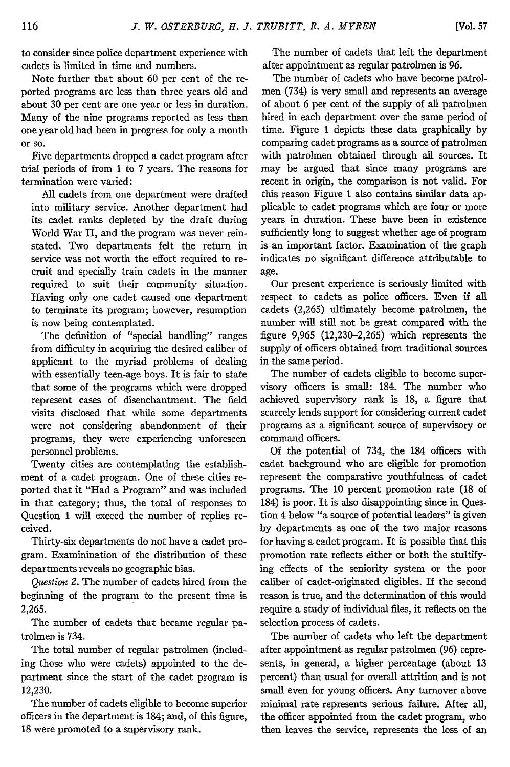to consider since police department experience with cadets is limited in time and numbers.

Note further that about 60 per cent of the reported programs are less than three years old and about 30 per cent are one year or less in duration. Many of the nine programs reported as less than one year old bad been in progress for only a month or so.

Five departments dropped a cadet program after trial periods of from 1 to 7 years. The reasons for termination were varied:

**All** cadets from one department were drafted into military service. Another department had its cadet ranks depleted by the draft during World War II, and the program was never reinstated. Two departments felt the return in service was not worth the effort required to recruit and specially train cadets in the manner required to suit their community situation. Having only one cadet caused one department to terminate its program; however, resumption is now being contemplated.

The definition of "special handling" ranges from difficulty in acquiring the desired caliber of applicant to the myriad problems of dealing with essentially teen-age boys. It is fair to state that some of the programs which were dropped represent cases of disenchantment. The field visits disclosed that while some departments were not considering abandonment of their programs, they were experiencing unforeseen personnel problems.

Twenty cities are contemplating the establishment of a cadet program. One of these cities reported that it "Had a Program" and was included in that category; thus, the total of responses to Question 1 will exceed the number of replies received.

Thirty-six departments do not have a cadet program. Examinination of the distribution of these departments reveals no geographic bias.

Question *2.* The number of cadets hired from the beginning of the program to the present time is 2,265.

The number of cadets that became regular patrolmen is 734.

The total number of regular patrolmen (including those who were cadets) appointed to the department since the start of the cadet program is 12,230.

The number of cadets eligible to become superior officers in the department is 184; and, of this figure, 18 were promoted to a supervisory rank.

The number of cadets that left the department after appointment as regular patrolmen is **96.**

The number of cadets who have become patrolmen (734) is very small and represents an average of about 6 per cent of the supply of all patrolmen hired in each department over the same period of time. Figure 1 depicts these data graphically by comparing cadet programs as a source of patrolmen with patrolmen obtained through all sources. It may be argued that since many programs are recent in origin, the comparison is not valid. For this reason Figure 1 also contains similar data applicable to cadet programs which are four or more years in duration. These have been in existence sufficiently long to suggest whether age of program is an important factor. Examination of the graph indicates no significant difference attributable to age.

Our present experience is seriously limited with respect to cadets as police officers. Even if all cadets (2,265) ultimately become patrolmen, the number will still not be great compared with the figure 9,965 (12,230-2,265) which represents the supply of officers obtained from traditional sources in the same period.

The number of cadets eligible to become supervisory officers is small: 184. The number who achieved supervisory rank is 18, a figure that scarcely lends support for considering current cadet programs as a significant source of supervisory or command officers.

Of the potential of 734, the 184 officers with cadet background who are eligible for promotion represent the comparative youthfulness of cadet programs. The 10 percent promotion rate (18 of 184) is poor. It is also disappointing since in Question 4 below "a source of potential leaders" is given by departments as one of the two major reasons for having a cadet program. It is possible that this promotion rate reflects either or both the stultifying effects of the seniority system or the poor caliber of cadet-originated eligibles. If the second reason is true, and the determination of this would require a study of individual files, it reflects on the selection process of cadets.

The number of cadets who left the department after appointment as regular patrolmen (96) represents, in general, a higher percentage (about 13 percent) than usual for overall attrition and is not small even for young officers. Any turnover above minimal rate represents serious failure. After all, the officer appointed from the cadet program, who then leaves the service, represents the loss of an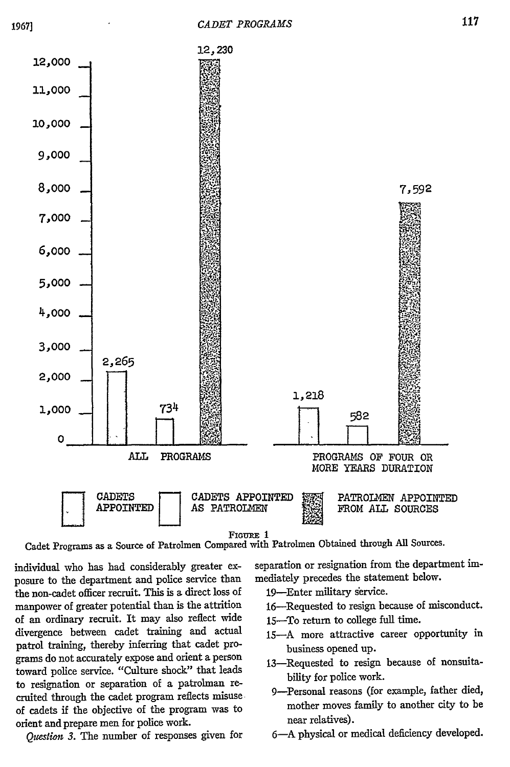



Cadet Programs as a Source of Patrolmen Compared with Patrolmen Obtained through All Sources.

individual who has had considerably greater exposure to the department and police service than the non-cadet officer recruit. This is a direct loss of manpower of greater potential than is the attrition of an ordinary recruit. It may also reflect wide divergence between cadet training and actual patrol training, thereby inferring that cadet programs do not accurately expose and orient a person toward police service. "Culture shock" that leads to resignation or separation of a patrolman recruited through the cadet program reflects misuse of cadets if the objective of the program was to orient and prepare men for police work.

*Questiom 3.* The number of responses given for

separation or resignation from the department immediately precedes the statement below.

- 19-Enter military service.
- 16-Requested to resign because of misconduct.
- 15-To return to college full time.
- 15-A more attractive career opportunity in business opened up.
- 13-Requested to resign because of nonsuitability for police work.
- 9-Personal reasons (for example, father died, mother moves family to another city to be near relatives).
- 6-A physical or medical deficiency developed.